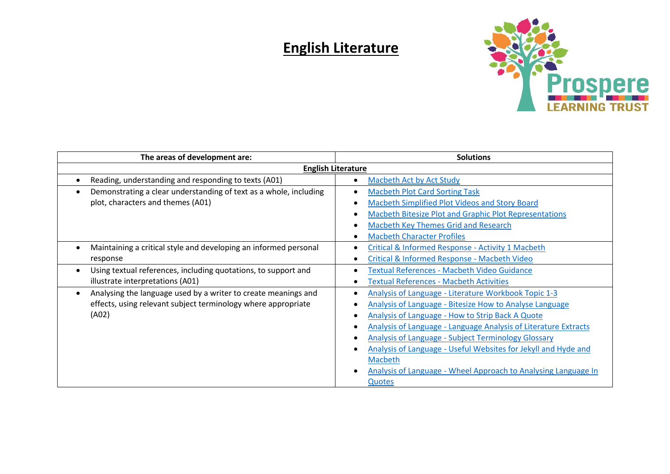## **English Literature**



| The areas of development are:                                                                                                            | <b>Solutions</b>                                                                                                                                                                                                                                                                                                                                                                                                                                                            |
|------------------------------------------------------------------------------------------------------------------------------------------|-----------------------------------------------------------------------------------------------------------------------------------------------------------------------------------------------------------------------------------------------------------------------------------------------------------------------------------------------------------------------------------------------------------------------------------------------------------------------------|
| <b>English Literature</b>                                                                                                                |                                                                                                                                                                                                                                                                                                                                                                                                                                                                             |
| Reading, understanding and responding to texts (A01)                                                                                     | Macbeth Act by Act Study                                                                                                                                                                                                                                                                                                                                                                                                                                                    |
| Demonstrating a clear understanding of text as a whole, including<br>plot, characters and themes (A01)                                   | <b>Macbeth Plot Card Sorting Task</b><br>Macbeth Simplified Plot Videos and Story Board<br>Macbeth Bitesize Plot and Graphic Plot Representations<br><b>Macbeth Key Themes Grid and Research</b><br><b>Macbeth Character Profiles</b>                                                                                                                                                                                                                                       |
| Maintaining a critical style and developing an informed personal<br>response                                                             | Critical & Informed Response - Activity 1 Macbeth<br>Critical & Informed Response - Macbeth Video                                                                                                                                                                                                                                                                                                                                                                           |
| Using textual references, including quotations, to support and<br>illustrate interpretations (A01)                                       | <b>Textual References - Macbeth Video Guidance</b><br><b>Textual References - Macbeth Activities</b>                                                                                                                                                                                                                                                                                                                                                                        |
| Analysing the language used by a writer to create meanings and<br>effects, using relevant subject terminology where appropriate<br>(A02) | Analysis of Language - Literature Workbook Topic 1-3<br>Analysis of Language - Bitesize How to Analyse Language<br>Analysis of Language - How to Strip Back A Quote<br><b>Analysis of Language - Language Analysis of Literature Extracts</b><br><b>Analysis of Language - Subject Terminology Glossary</b><br>Analysis of Language - Useful Websites for Jekyll and Hyde and<br>Macbeth<br>Analysis of Language - Wheel Approach to Analysing Language In<br><b>Quotes</b> |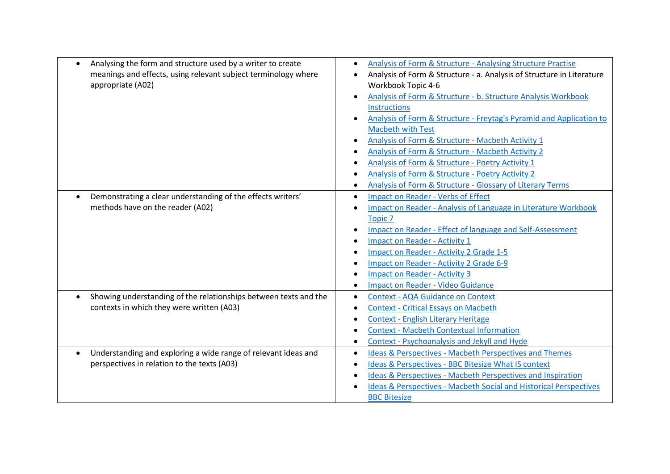| Analysing the form and structure used by a writer to create<br>$\bullet$<br>meanings and effects, using relevant subject terminology where<br>appropriate (A02) | Analysis of Form & Structure - Analysing Structure Practise<br>$\bullet$<br>Analysis of Form & Structure - a. Analysis of Structure in Literature<br>Workbook Topic 4-6<br>Analysis of Form & Structure - b. Structure Analysis Workbook<br>Instructions<br>Analysis of Form & Structure - Freytag's Pyramid and Application to<br><b>Macbeth with Test</b><br>Analysis of Form & Structure - Macbeth Activity 1<br>Analysis of Form & Structure - Macbeth Activity 2<br>Analysis of Form & Structure - Poetry Activity 1<br>Analysis of Form & Structure - Poetry Activity 2<br>Analysis of Form & Structure - Glossary of Literary Terms |
|-----------------------------------------------------------------------------------------------------------------------------------------------------------------|--------------------------------------------------------------------------------------------------------------------------------------------------------------------------------------------------------------------------------------------------------------------------------------------------------------------------------------------------------------------------------------------------------------------------------------------------------------------------------------------------------------------------------------------------------------------------------------------------------------------------------------------|
| Demonstrating a clear understanding of the effects writers'<br>methods have on the reader (A02)                                                                 | <b>Impact on Reader - Verbs of Effect</b><br>$\bullet$<br><b>Impact on Reader - Analysis of Language in Literature Workbook</b><br><b>Topic 7</b><br>Impact on Reader - Effect of language and Self-Assessment<br><b>Impact on Reader - Activity 1</b><br>Impact on Reader - Activity 2 Grade 1-5<br>Impact on Reader - Activity 2 Grade 6-9<br><b>Impact on Reader - Activity 3</b><br><b>Impact on Reader - Video Guidance</b>                                                                                                                                                                                                           |
| Showing understanding of the relationships between texts and the<br>contexts in which they were written (A03)                                                   | <b>Context - AQA Guidance on Context</b><br><b>Context - Critical Essays on Macbeth</b><br><b>Context - English Literary Heritage</b><br><b>Context - Macbeth Contextual Information</b><br>Context - Psychoanalysis and Jekyll and Hyde<br>$\bullet$                                                                                                                                                                                                                                                                                                                                                                                      |
| Understanding and exploring a wide range of relevant ideas and<br>perspectives in relation to the texts (A03)                                                   | <b>Ideas &amp; Perspectives - Macbeth Perspectives and Themes</b><br>$\bullet$<br>Ideas & Perspectives - BBC Bitesize What IS context<br>Ideas & Perspectives - Macbeth Perspectives and Inspiration<br>Ideas & Perspectives - Macbeth Social and Historical Perspectives<br><b>BBC Bitesize</b>                                                                                                                                                                                                                                                                                                                                           |